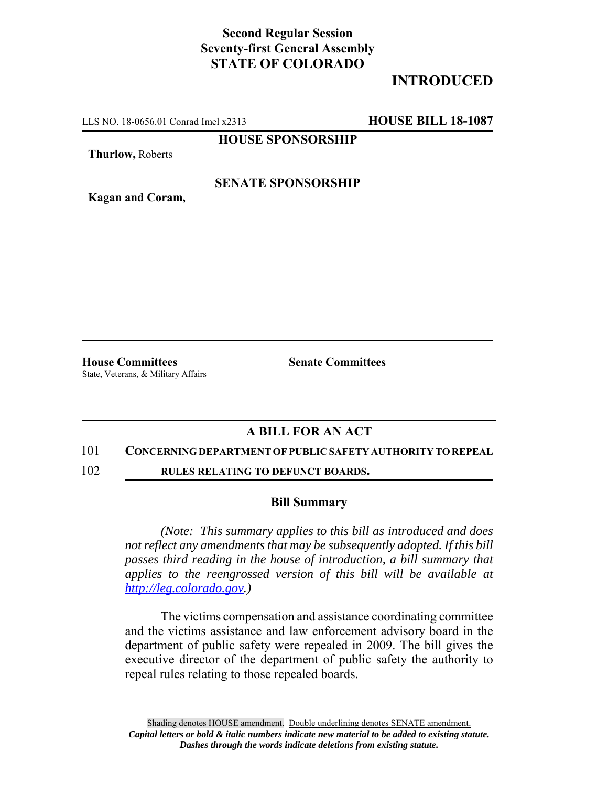# **Second Regular Session Seventy-first General Assembly STATE OF COLORADO**

# **INTRODUCED**

LLS NO. 18-0656.01 Conrad Imel x2313 **HOUSE BILL 18-1087**

**HOUSE SPONSORSHIP**

**Thurlow,** Roberts

**Kagan and Coram,**

### **SENATE SPONSORSHIP**

**House Committees Senate Committees** State, Veterans, & Military Affairs

## **A BILL FOR AN ACT**

### 101 **CONCERNING DEPARTMENT OF PUBLIC SAFETY AUTHORITY TO REPEAL**

102 **RULES RELATING TO DEFUNCT BOARDS.**

#### **Bill Summary**

*(Note: This summary applies to this bill as introduced and does not reflect any amendments that may be subsequently adopted. If this bill passes third reading in the house of introduction, a bill summary that applies to the reengrossed version of this bill will be available at http://leg.colorado.gov.)*

The victims compensation and assistance coordinating committee and the victims assistance and law enforcement advisory board in the department of public safety were repealed in 2009. The bill gives the executive director of the department of public safety the authority to repeal rules relating to those repealed boards.